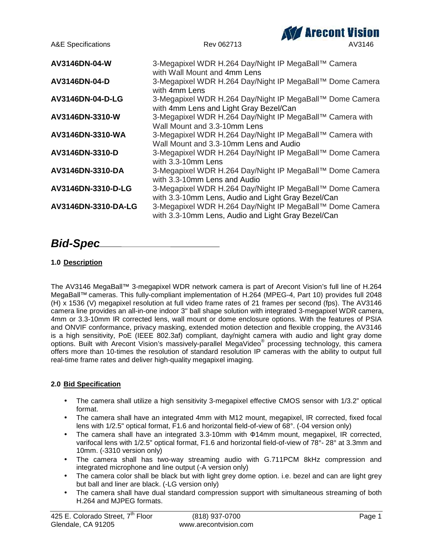

# *Bid-Spec*

### **1.0 Description**

The AV3146 MegaBall™ 3-megapixel WDR network camera is part of Arecont Vision's full line of H.264 MegaBall™ cameras. This fully-compliant implementation of H.264 (MPEG-4, Part 10) provides full 2048 (H) x 1536 (V) megapixel resolution at full video frame rates of 21 frames per second (fps). The AV3146 camera line provides an all-in-one indoor 3" ball shape solution with integrated 3-megapixel WDR camera, 4mm or 3.3-10mm IR corrected lens, wall mount or dome enclosure options. With the features of PSIA and ONVIF conformance, privacy masking, extended motion detection and flexible cropping, the AV3146 is a high sensitivity, PoE (IEEE 802.3af) compliant, day/night camera with audio and light gray dome options. Built with Arecont Vision's massively-parallel MegaVideo® processing technology, this camera offers more than 10-times the resolution of standard resolution IP cameras with the ability to output full real-time frame rates and deliver high-quality megapixel imaging.

### **2.0 Bid Specification**

- The camera shall utilize a high sensitivity 3-megapixel effective CMOS sensor with 1/3.2" optical format.
- The camera shall have an integrated 4mm with M12 mount, megapixel, IR corrected, fixed focal lens with 1/2.5" optical format, F1.6 and horizontal field-of-view of 68°. (-04 version only)
- The camera shall have an integrated 3.3-10mm with 14mm mount, megapixel, IR corrected, varifocal lens with 1/2.5" optical format, F1.6 and horizontal field-of-view of 78°- 28° at 3.3mm and 10mm. (-3310 version only)
- The camera shall has two-way streaming audio with G.711PCM 8kHz compression and integrated microphone and line output (-A version only)
- The camera color shall be black but with light grey dome option. i.e. bezel and can are light grey but ball and liner are black. (-LG version only)
- The camera shall have dual standard compression support with simultaneous streaming of both H.264 and MJPEG formats.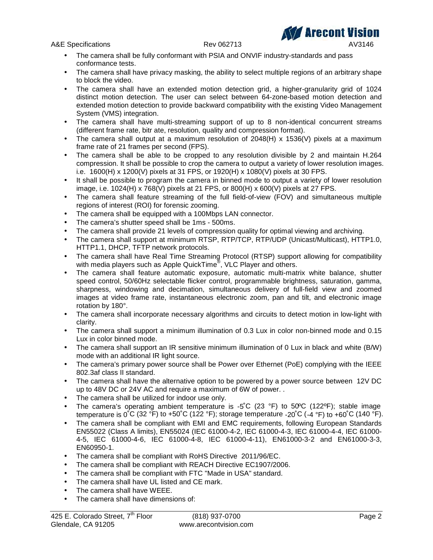A&E Specifications **Rev 062713** AV3146

- The camera shall be fully conformant with PSIA and ONVIF industry-standards and pass conformance tests.
- The camera shall have privacy masking, the ability to select multiple regions of an arbitrary shape to block the video.
- The camera shall have an extended motion detection grid, a higher-granularity grid of 1024 distinct motion detection. The user can select between 64-zone-based motion detection and extended motion detection to provide backward compatibility with the existing Video Management System (VMS) integration.
- The camera shall have multi-streaming support of up to 8 non-identical concurrent streams (different frame rate, bitr ate, resolution, quality and compression format).
- The camera shall output at a maximum resolution of  $2048(H) \times 1536(V)$  pixels at a maximum frame rate of 21 frames per second (FPS).
- The camera shall be able to be cropped to any resolution divisible by 2 and maintain H.264 compression. It shall be possible to crop the camera to output a variety of lower resolution images. i.e. 1600(H) x 1200(V) pixels at 31 FPS, or 1920(H) x 1080(V) pixels at 30 FPS.
- It shall be possible to program the camera in binned mode to output a variety of lower resolution image, i.e. 1024(H) x 768(V) pixels at 21 FPS, or 800(H) x 600(V) pixels at 27 FPS.
- The camera shall feature streaming of the full field-of-view (FOV) and simultaneous multiple regions of interest (ROI) for forensic zooming.
- The camera shall be equipped with a 100Mbps LAN connector.
- The camera's shutter speed shall be 1ms 500ms.
- The camera shall provide 21 levels of compression quality for optimal viewing and archiving.
- The camera shall support at minimum RTSP, RTP/TCP, RTP/UDP (Unicast/Multicast), HTTP1.0, HTTP1.1, DHCP, TFTP network protocols.
- The camera shall have Real Time Streaming Protocol (RTSP) support allowing for compatibility with media players such as Apple QuickTime® , VLC Player and others.
- The camera shall feature automatic exposure, automatic multi-matrix white balance, shutter speed control, 50/60Hz selectable flicker control, programmable brightness, saturation, gamma, sharpness, windowing and decimation, simultaneous delivery of full-field view and zoomed images at video frame rate, instantaneous electronic zoom, pan and tilt, and electronic image rotation by 180°.
- The camera shall incorporate necessary algorithms and circuits to detect motion in low-light with clarity.
- The camera shall support a minimum illumination of 0.3 Lux in color non-binned mode and 0.15 Lux in color binned mode.
- The camera shall support an IR sensitive minimum illumination of 0 Lux in black and white (B/W) mode with an additional IR light source.
- The camera's primary power source shall be Power over Ethernet (PoE) complying with the IEEE 802.3af class II standard.
- The camera shall have the alternative option to be powered by a power source between 12V DC up to 48V DC or 24V AC and require a maximum of 6W of power. .
- The camera shall be utilized for indoor use only.
- The camera's operating ambient temperature is  $-5^{\circ}C$  (23 °F) to 50°C (122°F); stable image temperature is  $0^{\circ}$ C (32  $^{\circ}$ F) to +50 $^{\circ}$ C (122  $^{\circ}$ F); storage temperature -20 $^{\circ}$ C (-4  $^{\circ}$ F) to +60 $^{\circ}$ C (140  $^{\circ}$ F).
- The camera shall be compliant with EMI and EMC requirements, following European Standards EN55022 (Class A limits), EN55024 (IEC 61000-4-2, IEC 61000-4-3, IEC 61000-4-4, IEC 61000- 4-5, IEC 61000-4-6, IEC 61000-4-8, IEC 61000-4-11), EN61000-3-2 and EN61000-3-3, EN60950-1.
- The camera shall be compliant with RoHS Directive 2011/96/EC.
- The camera shall be compliant with REACH Directive EC1907/2006.
- The camera shall be compliant with FTC "Made in USA" standard.
- The camera shall have UL listed and CE mark.
- The camera shall have WEEE.
- The camera shall have dimensions of: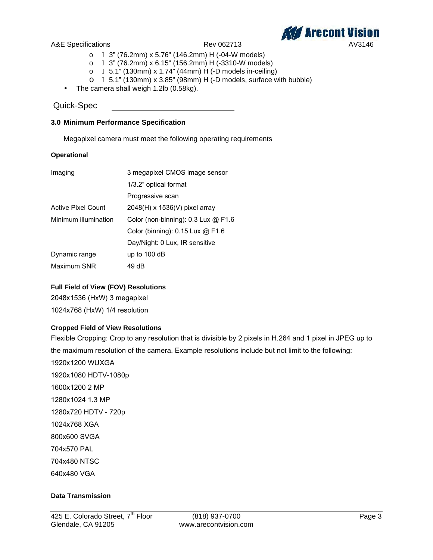

- o 3" (76.2mm) x 5.76" (146.2mm) H (-04-W models)
- o 3" (76.2mm) x 6.15" (156.2mm) H (-3310-W models)
- o 5.1" (130mm) x 1.74" (44mm) H (-D models in-ceiling)
- o 5.1" (130mm) x 3.85" (98mm) H (-D models, surface with bubble)
- The camera shall weigh 1.2lb (0.58kg).

### Quick-Spec

### **3.0 Minimum Performance Specification**

Megapixel camera must meet the following operating requirements

### **Operational**

| Imaging                   | 3 megapixel CMOS image sensor           |
|---------------------------|-----------------------------------------|
|                           | 1/3.2" optical format                   |
|                           | Progressive scan                        |
| <b>Active Pixel Count</b> | $2048(H)$ x 1536(V) pixel array         |
| Minimum illumination      | Color (non-binning): $0.3$ Lux $@$ F1.6 |
|                           | Color (binning): $0.15$ Lux $@$ F1.6    |
|                           | Day/Night: 0 Lux, IR sensitive          |
| Dynamic range             | up to $100$ dB                          |
| Maximum SNR               | 49 dB                                   |

### **Full Field of View (FOV) Resolutions**

2048x1536 (HxW) 3 megapixel 1024x768 (HxW) 1/4 resolution

### **Cropped Field of View Resolutions**

Flexible Cropping: Crop to any resolution that is divisible by 2 pixels in H.264 and 1 pixel in JPEG up to the maximum resolution of the camera. Example resolutions include but not limit to the following: 1920x1200 WUXGA 1920x1080 HDTV-1080p 1600x1200 2 MP 1280x1024 1.3 MP 1280x720 HDTV - 720p 1024x768 XGA 800x600 SVGA 704x570 PAL 704x480 NTSC 640x480 VGA

### **Data Transmission**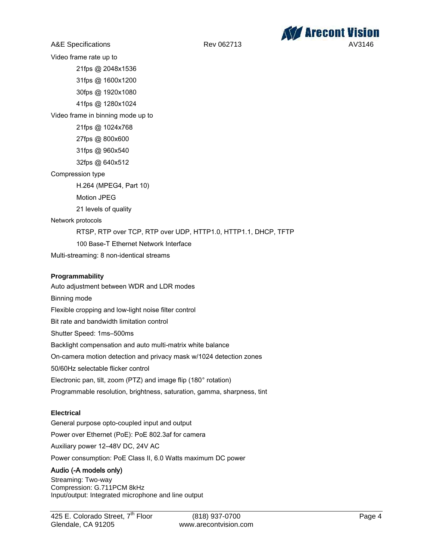

Video frame rate up to

21fps @ 2048x1536

31fps @ 1600x1200

30fps @ 1920x1080

41fps @ 1280x1024

Video frame in binning mode up to

21fps @ 1024x768

27fps @ 800x600

31fps @ 960x540

32fps @ 640x512

Compression type

H.264 (MPEG4, Part 10)

Motion JPEG

21 levels of quality

Network protocols

RTSP, RTP over TCP, RTP over UDP, HTTP1.0, HTTP1.1, DHCP, TFTP

100 Base-T Ethernet Network Interface

Multi-streaming: 8 non-identical streams

### **Programmability**

Auto adjustment between WDR and LDR modes Binning mode Flexible cropping and low-light noise filter control Bit rate and bandwidth limitation control Shutter Speed: 1ms–500ms Backlight compensation and auto multi-matrix white balance On-camera motion detection and privacy mask w/1024 detection zones 50/60Hz selectable flicker control Electronic pan, tilt, zoom (PTZ) and image flip (180° rotation) Programmable resolution, brightness, saturation, gamma, sharpness, tint

### **Electrical**

General purpose opto-coupled input and output Power over Ethernet (PoE): PoE 802.3af for camera Auxiliary power 12–48V DC, 24V AC

Power consumption: PoE Class II, 6.0 Watts maximum DC power

### **Audio (-A models only)**

Streaming: Two-way Compression: G.711PCM 8kHz Input/output: Integrated microphone and line output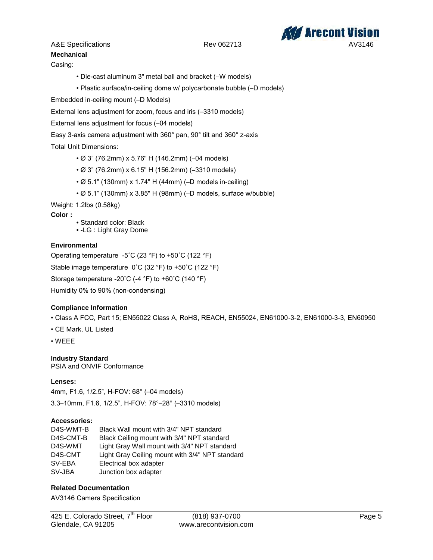

# **Mechanical**

Casing:

- Die-cast aluminum 3" metal ball and bracket (–W models)
- Plastic surface/in-ceiling dome w/ polycarbonate bubble (–D models)

Embedded in-ceiling mount (–D Models)

External lens adjustment for zoom, focus and iris (–3310 models)

External lens adjustment for focus (–04 models)

Easy 3-axis camera adjustment with 360° pan, 90° tilt and 360° z-axis

### Total Unit Dimensions:

- Ø 3" (76.2mm) x 5.76" H (146.2mm) (–04 models)
- Ø 3" (76.2mm) x 6.15" H (156.2mm) (–3310 models)
- Ø 5.1" (130mm) x 1.74" H (44mm) (–D models in-ceiling)
- Ø 5.1" (130mm) x 3.85" H (98mm) (–D models, surface w/bubble)

Weight: 1.2lbs (0.58kg)

**Color :**

- Standard color: Black
- -LG : Light Gray Dome

### **Environmental**

Operating temperature -5˚C (23 °F) to +50˚C (122 °F) Stable image temperature 0˚C (32 °F) to +50˚C (122 °F) Storage temperature -20˚C (-4 °F) to +60˚C (140 °F) Humidity 0% to 90% (non-condensing)

### **Compliance Information**

- Class A FCC, Part 15; EN55022 Class A, RoHS, REACH, EN55024, EN61000-3-2, EN61000-3-3, EN60950
- CE Mark, UL Listed
- WEEE

### **Industry Standard**

PSIA and ONVIF Conformance

### **Lenses:**

4mm, F1.6, 1/2.5", H-FOV: 68° (–04 models)

## 3.3–10mm, F1.6, 1/2.5", H-FOV: 78°–28° (–3310 models)

### **Accessories:**

| D4S-WMT-B | Black Wall mount with 3/4" NPT standard         |
|-----------|-------------------------------------------------|
| D4S-CMT-B | Black Ceiling mount with 3/4" NPT standard      |
| D4S-WMT   | Light Gray Wall mount with 3/4" NPT standard    |
| D4S-CMT   | Light Gray Ceiling mount with 3/4" NPT standard |
| SV-EBA    | Electrical box adapter                          |
| SV-JBA    | Junction box adapter                            |

### **Related Documentation**

AV3146 Camera Specification